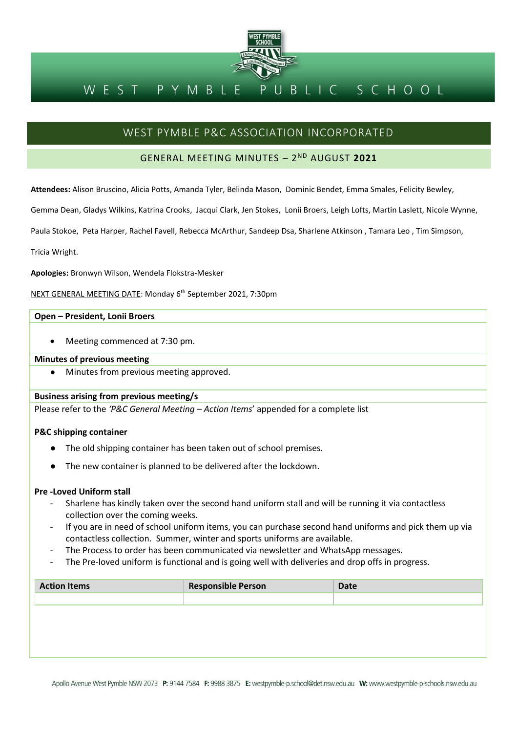

#### BLIC SCHOOL PYMBL WEST

# WEST PYMBLE P&C ASSOCIATION INCORPORATED

## GENERAL MEETING MINUTES – 2 ND AUGUST **2021**

**Attendees:** Alison Bruscino, Alicia Potts, Amanda Tyler, Belinda Mason, Dominic Bendet, Emma Smales, Felicity Bewley,

Gemma Dean, Gladys Wilkins, Katrina Crooks, Jacqui Clark, Jen Stokes, Lonii Broers, Leigh Lofts, Martin Laslett, Nicole Wynne,

Paula Stokoe, Peta Harper, Rachel Favell, Rebecca McArthur, Sandeep Dsa, Sharlene Atkinson , Tamara Leo , Tim Simpson,

Tricia Wright.

**Apologies:** Bronwyn Wilson, Wendela Flokstra-Mesker

NEXT GENERAL MEETING DATE: Monday 6 th September 2021, 7:30pm

#### **Open – President, Lonii Broers**

• Meeting commenced at 7:30 pm.

#### **Minutes of previous meeting**

● Minutes from previous meeting approved.

#### **Business arising from previous meeting/s**

Please refer to the *'P&C General Meeting – Action Items*' appended for a complete list

#### **P&C shipping container**

- The old shipping container has been taken out of school premises.
- The new container is planned to be delivered after the lockdown.

#### **Pre -Loved Uniform stall**

- Sharlene has kindly taken over the second hand uniform stall and will be running it via contactless collection over the coming weeks.
- If you are in need of school uniform items, you can purchase second hand uniforms and pick them up via contactless collection. Summer, winter and sports uniforms are available.
- The Process to order has been communicated via newsletter and WhatsApp messages.
- The Pre-loved uniform is functional and is going well with deliveries and drop offs in progress.

| <b>Action Items</b> | <b>Responsible Person</b> | <b>Date</b> |
|---------------------|---------------------------|-------------|
|                     |                           |             |
|                     |                           |             |
|                     |                           |             |
|                     |                           |             |
|                     |                           |             |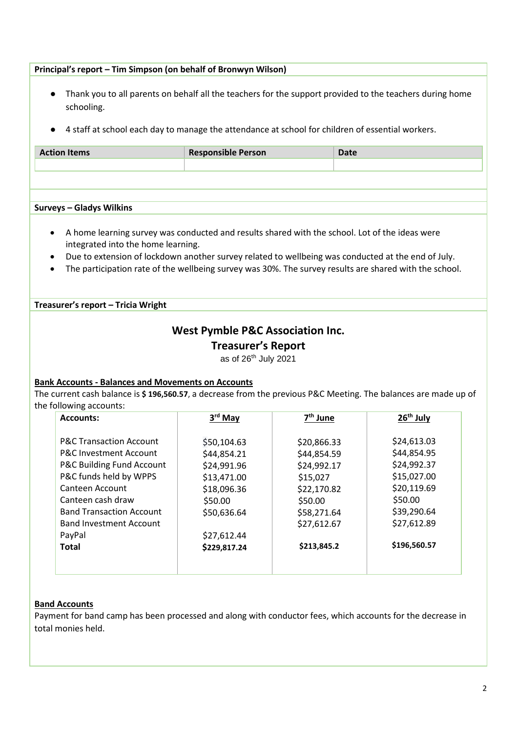### **Principal's report – Tim Simpson (on behalf of Bronwyn Wilson)**

- Thank you to all parents on behalf all the teachers for the support provided to the teachers during home schooling.
- 4 staff at school each day to manage the attendance at school for children of essential workers.

| <b>Action Items</b>                                                                                                                                                                                                                                                                                                                                  | <b>Responsible Person</b>                   | <b>Date</b>          |                       |
|------------------------------------------------------------------------------------------------------------------------------------------------------------------------------------------------------------------------------------------------------------------------------------------------------------------------------------------------------|---------------------------------------------|----------------------|-----------------------|
|                                                                                                                                                                                                                                                                                                                                                      |                                             |                      |                       |
|                                                                                                                                                                                                                                                                                                                                                      |                                             |                      |                       |
| <b>Surveys - Gladys Wilkins</b>                                                                                                                                                                                                                                                                                                                      |                                             |                      |                       |
| A home learning survey was conducted and results shared with the school. Lot of the ideas were<br>integrated into the home learning.<br>Due to extension of lockdown another survey related to wellbeing was conducted at the end of July.<br>The participation rate of the wellbeing survey was 30%. The survey results are shared with the school. |                                             |                      |                       |
| Treasurer's report - Tricia Wright                                                                                                                                                                                                                                                                                                                   |                                             |                      |                       |
|                                                                                                                                                                                                                                                                                                                                                      | <b>West Pymble P&amp;C Association Inc.</b> |                      |                       |
|                                                                                                                                                                                                                                                                                                                                                      |                                             |                      |                       |
|                                                                                                                                                                                                                                                                                                                                                      |                                             |                      |                       |
|                                                                                                                                                                                                                                                                                                                                                      | <b>Treasurer's Report</b>                   |                      |                       |
|                                                                                                                                                                                                                                                                                                                                                      | as of 26 <sup>th</sup> July 2021            |                      |                       |
|                                                                                                                                                                                                                                                                                                                                                      |                                             |                      |                       |
|                                                                                                                                                                                                                                                                                                                                                      |                                             |                      |                       |
|                                                                                                                                                                                                                                                                                                                                                      |                                             |                      |                       |
| <b>Accounts:</b>                                                                                                                                                                                                                                                                                                                                     | 3rd May                                     | 7 <sup>th</sup> June | 26 <sup>th</sup> July |
|                                                                                                                                                                                                                                                                                                                                                      |                                             |                      |                       |
| <b>P&amp;C Transaction Account</b>                                                                                                                                                                                                                                                                                                                   | \$50,104.63                                 | \$20,866.33          | \$24,613.03           |
| <b>P&amp;C Investment Account</b>                                                                                                                                                                                                                                                                                                                    | \$44,854.21                                 | \$44,854.59          | \$44,854.95           |
| P&C Building Fund Account                                                                                                                                                                                                                                                                                                                            | \$24,991.96                                 | \$24,992.17          | \$24,992.37           |
| P&C funds held by WPPS                                                                                                                                                                                                                                                                                                                               | \$13,471.00                                 | \$15,027             | \$15,027.00           |
| Canteen Account                                                                                                                                                                                                                                                                                                                                      | \$18,096.36                                 | \$22,170.82          | \$20,119.69           |
| Canteen cash draw                                                                                                                                                                                                                                                                                                                                    | \$50.00                                     | \$50.00              | \$50.00               |
| <b>Band Transaction Account</b>                                                                                                                                                                                                                                                                                                                      | \$50,636.64                                 | \$58,271.64          | \$39,290.64           |
| <b>Band Investment Account</b>                                                                                                                                                                                                                                                                                                                       |                                             | \$27,612.67          | \$27,612.89           |
| PayPal                                                                                                                                                                                                                                                                                                                                               | \$27,612.44                                 |                      |                       |
| <b>Total</b>                                                                                                                                                                                                                                                                                                                                         | \$229,817.24                                | \$213,845.2          | \$196,560.57          |
| <b>Bank Accounts - Balances and Movements on Accounts</b><br>The current cash balance is \$196,560.57, a decrease from the previous P&C Meeting. The balances are made up of<br>the following accounts:                                                                                                                                              |                                             |                      |                       |

Payment for band camp has been processed and along with conductor fees, which accounts for the decrease in total monies held.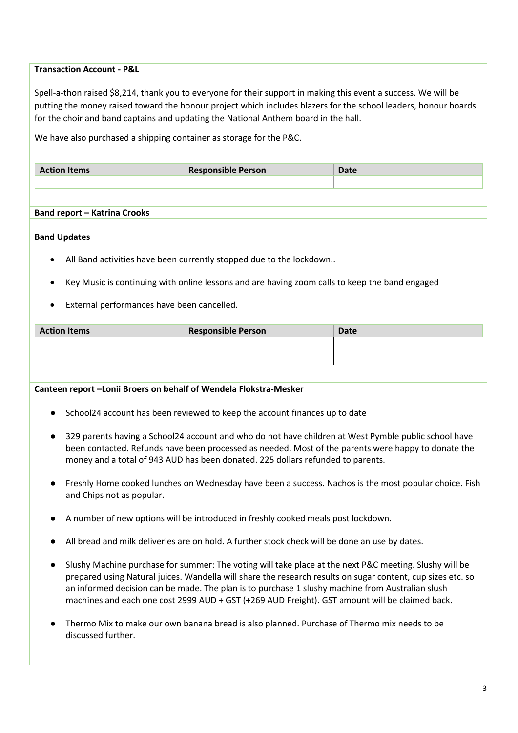#### **Transaction Account - P&L**

Spell-a-thon raised \$8,214, thank you to everyone for their support in making this event a success. We will be putting the money raised toward the honour project which includes blazers for the school leaders, honour boards for the choir and band captains and updating the National Anthem board in the hall.

We have also purchased a shipping container as storage for the P&C.

| <b>Action Items</b> | <b>Responsible Person</b> | <b>Date</b> |
|---------------------|---------------------------|-------------|
|                     |                           |             |

#### **Band report – Katrina Crooks**

#### **Band Updates**

- All Band activities have been currently stopped due to the lockdown..
- Key Music is continuing with online lessons and are having zoom calls to keep the band engaged
- External performances have been cancelled.

| <b>Action Items</b> | <b>Responsible Person</b> | <b>Date</b> |
|---------------------|---------------------------|-------------|
|                     |                           |             |
|                     |                           |             |
|                     |                           |             |

#### **Canteen report –Lonii Broers on behalf of Wendela Flokstra-Mesker**

- School24 account has been reviewed to keep the account finances up to date
- 329 parents having a School24 account and who do not have children at West Pymble public school have been contacted. Refunds have been processed as needed. Most of the parents were happy to donate the money and a total of 943 AUD has been donated. 225 dollars refunded to parents.
- Freshly Home cooked lunches on Wednesday have been a success. Nachos is the most popular choice. Fish and Chips not as popular.
- A number of new options will be introduced in freshly cooked meals post lockdown.
- All bread and milk deliveries are on hold. A further stock check will be done an use by dates.
- Slushy Machine purchase for summer: The voting will take place at the next P&C meeting. Slushy will be prepared using Natural juices. Wandella will share the research results on sugar content, cup sizes etc. so an informed decision can be made. The plan is to purchase 1 slushy machine from Australian slush machines and each one cost 2999 AUD + GST (+269 AUD Freight). GST amount will be claimed back.
- Thermo Mix to make our own banana bread is also planned. Purchase of Thermo mix needs to be discussed further.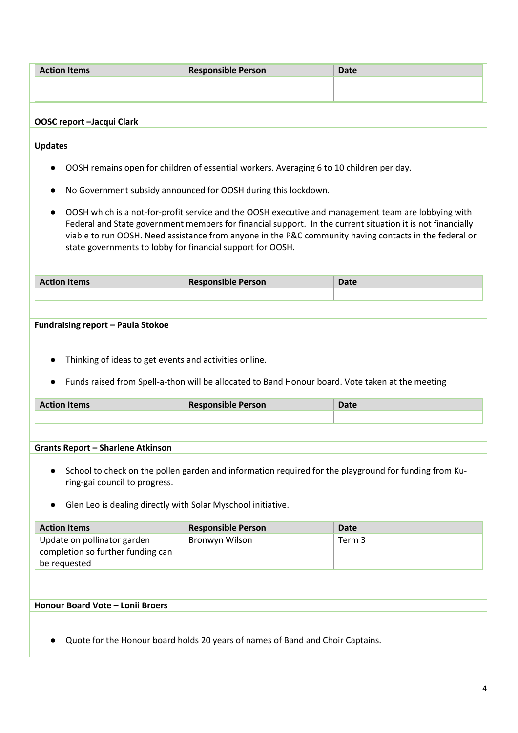| <b>Action Items</b> | <b>Responsible Person</b> | <b>Date</b> |
|---------------------|---------------------------|-------------|
|                     |                           |             |
|                     |                           |             |

#### **OOSC report –Jacqui Clark**

**Updates**

- OOSH remains open for children of essential workers. Averaging 6 to 10 children per day.
- No Government subsidy announced for OOSH during this lockdown.
- OOSH which is a not-for-profit service and the OOSH executive and management team are lobbying with Federal and State government members for financial support. In the current situation it is not financially viable to run OOSH. Need assistance from anyone in the P&C community having contacts in the federal or state governments to lobby for financial support for OOSH.

| <b>Action Items</b> | <b>Responsible Person</b> | Date |
|---------------------|---------------------------|------|
|                     |                           |      |
|                     |                           |      |

#### **Fundraising report – Paula Stokoe**

- Thinking of ideas to get events and activities online.
- Funds raised from Spell-a-thon will be allocated to Band Honour board. Vote taken at the meeting

| <b>Action Items</b> | <b>Responsible Person</b> | salc |
|---------------------|---------------------------|------|
|                     |                           |      |
|                     |                           |      |

#### **Grants Report – Sharlene Atkinson**

- School to check on the pollen garden and information required for the playground for funding from Kuring-gai council to progress.
- Glen Leo is dealing directly with Solar Myschool initiative.

| <b>Action Items</b>                                                              | <b>Responsible Person</b> | Date   |
|----------------------------------------------------------------------------------|---------------------------|--------|
| Update on pollinator garden<br>completion so further funding can<br>be requested | Bronwyn Wilson            | Term 3 |

#### **Honour Board Vote – Lonii Broers**

● Quote for the Honour board holds 20 years of names of Band and Choir Captains.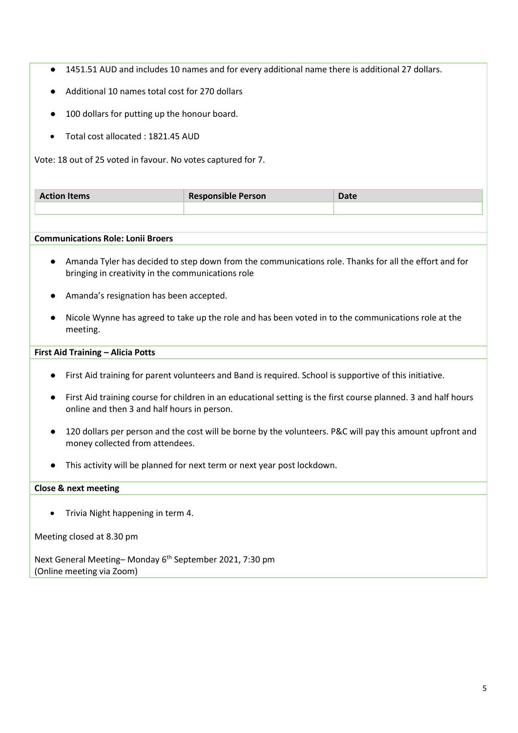- 1451.51 AUD and includes 10 names and for every additional name there is additional 27 dollars.
- Additional 10 names total cost for 270 dollars
- 100 dollars for putting up the honour board.
- Total cost allocated : 1821.45 AUD

Vote: 18 out of 25 voted in favour. No votes captured for 7.

| <b>Action Items</b> | <b>Responsible Person</b> | <b>Date</b> |
|---------------------|---------------------------|-------------|
|                     |                           |             |

#### **Communications Role: Lonii Broers**

- Amanda Tyler has decided to step down from the communications role. Thanks for all the effort and for bringing in creativity in the communications role
- Amanda's resignation has been accepted.
- Nicole Wynne has agreed to take up the role and has been voted in to the communications role at the meeting.

#### **First Aid Training – Alicia Potts**

- First Aid training for parent volunteers and Band is required. School is supportive of this initiative.
- First Aid training course for children in an educational setting is the first course planned. 3 and half hours online and then 3 and half hours in person.
- 120 dollars per person and the cost will be borne by the volunteers. P&C will pay this amount upfront and money collected from attendees.
- This activity will be planned for next term or next year post lockdown.

#### **Close & next meeting**

• Trivia Night happening in term 4.

Meeting closed at 8.30 pm

Next General Meeting-Monday 6<sup>th</sup> September 2021, 7:30 pm (Online meeting via Zoom)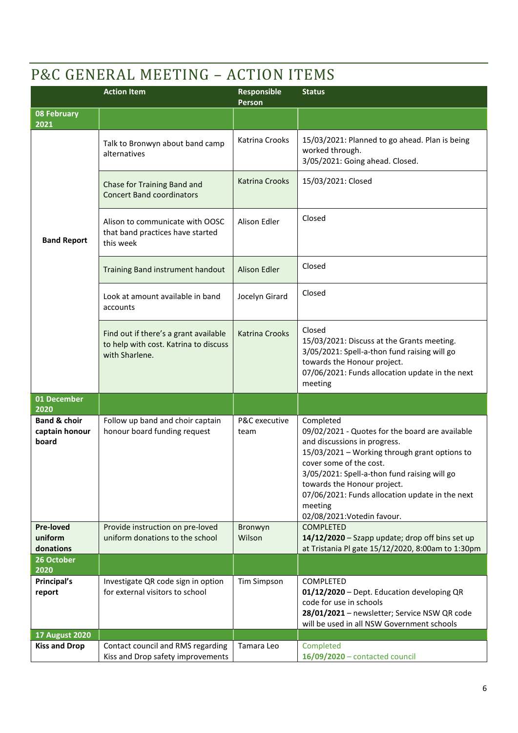# P&C GENERAL MEETING – ACTION ITEMS

|                                                    | <b>Action Item</b>                                                                               | <b>Responsible</b><br>Person | <b>Status</b>                                                                                                                                                                                                                                                                                                                                        |
|----------------------------------------------------|--------------------------------------------------------------------------------------------------|------------------------------|------------------------------------------------------------------------------------------------------------------------------------------------------------------------------------------------------------------------------------------------------------------------------------------------------------------------------------------------------|
| 08 February<br>2021                                |                                                                                                  |                              |                                                                                                                                                                                                                                                                                                                                                      |
|                                                    | Talk to Bronwyn about band camp<br>alternatives                                                  | Katrina Crooks               | 15/03/2021: Planned to go ahead. Plan is being<br>worked through.<br>3/05/2021: Going ahead. Closed.                                                                                                                                                                                                                                                 |
|                                                    | Chase for Training Band and<br><b>Concert Band coordinators</b>                                  | <b>Katrina Crooks</b>        | 15/03/2021: Closed                                                                                                                                                                                                                                                                                                                                   |
| <b>Band Report</b>                                 | Alison to communicate with OOSC<br>that band practices have started<br>this week                 | Alison Edler                 | Closed                                                                                                                                                                                                                                                                                                                                               |
|                                                    | Training Band instrument handout                                                                 | <b>Alison Edler</b>          | Closed                                                                                                                                                                                                                                                                                                                                               |
|                                                    | Look at amount available in band<br>accounts                                                     | Jocelyn Girard               | Closed                                                                                                                                                                                                                                                                                                                                               |
|                                                    | Find out if there's a grant available<br>to help with cost. Katrina to discuss<br>with Sharlene. | <b>Katrina Crooks</b>        | Closed<br>15/03/2021: Discuss at the Grants meeting.<br>3/05/2021: Spell-a-thon fund raising will go<br>towards the Honour project.<br>07/06/2021: Funds allocation update in the next<br>meeting                                                                                                                                                    |
| 01 December<br>2020                                |                                                                                                  |                              |                                                                                                                                                                                                                                                                                                                                                      |
| <b>Band &amp; choir</b><br>captain honour<br>board | Follow up band and choir captain<br>honour board funding request                                 | P&C executive<br>team        | Completed<br>09/02/2021 - Quotes for the board are available<br>and discussions in progress.<br>15/03/2021 - Working through grant options to<br>cover some of the cost.<br>3/05/2021: Spell-a-thon fund raising will go<br>towards the Honour project.<br>07/06/2021: Funds allocation update in the next<br>meeting<br>02/08/2021: Votedin favour. |
| <b>Pre-loved</b><br>uniform                        | Provide instruction on pre-loved<br>uniform donations to the school                              | Bronwyn<br>Wilson            | <b>COMPLETED</b><br>14/12/2020 - Szapp update; drop off bins set up                                                                                                                                                                                                                                                                                  |
| donations<br>26 October                            |                                                                                                  |                              | at Tristania Pl gate 15/12/2020, 8:00am to 1:30pm                                                                                                                                                                                                                                                                                                    |
| 2020                                               |                                                                                                  |                              |                                                                                                                                                                                                                                                                                                                                                      |
| Principal's<br>report                              | Investigate QR code sign in option<br>for external visitors to school                            | <b>Tim Simpson</b>           | COMPLETED<br>01/12/2020 - Dept. Education developing QR<br>code for use in schools<br>28/01/2021 - newsletter; Service NSW QR code<br>will be used in all NSW Government schools                                                                                                                                                                     |
| <b>17 August 2020</b>                              |                                                                                                  |                              |                                                                                                                                                                                                                                                                                                                                                      |
| <b>Kiss and Drop</b>                               | Contact council and RMS regarding<br>Kiss and Drop safety improvements                           | Tamara Leo                   | Completed<br>16/09/2020 - contacted council                                                                                                                                                                                                                                                                                                          |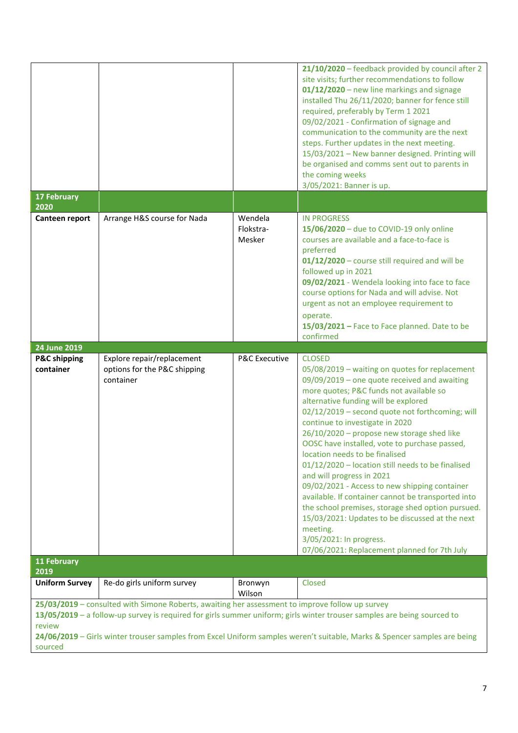|                                      |                                                                                                 |                                | 21/10/2020 - feedback provided by council after 2<br>site visits; further recommendations to follow<br>01/12/2020 - new line markings and signage<br>installed Thu 26/11/2020; banner for fence still<br>required, preferably by Term 1 2021<br>09/02/2021 - Confirmation of signage and<br>communication to the community are the next<br>steps. Further updates in the next meeting.<br>15/03/2021 - New banner designed. Printing will<br>be organised and comms sent out to parents in<br>the coming weeks<br>3/05/2021: Banner is up.                                                                                                                                                                                                                                                                        |
|--------------------------------------|-------------------------------------------------------------------------------------------------|--------------------------------|-------------------------------------------------------------------------------------------------------------------------------------------------------------------------------------------------------------------------------------------------------------------------------------------------------------------------------------------------------------------------------------------------------------------------------------------------------------------------------------------------------------------------------------------------------------------------------------------------------------------------------------------------------------------------------------------------------------------------------------------------------------------------------------------------------------------|
| <b>17 February</b><br>2020           |                                                                                                 |                                |                                                                                                                                                                                                                                                                                                                                                                                                                                                                                                                                                                                                                                                                                                                                                                                                                   |
| Canteen report                       | Arrange H&S course for Nada                                                                     | Wendela<br>Flokstra-<br>Mesker | <b>IN PROGRESS</b><br>15/06/2020 - due to COVID-19 only online<br>courses are available and a face-to-face is<br>preferred<br>01/12/2020 - course still required and will be<br>followed up in 2021<br>09/02/2021 - Wendela looking into face to face<br>course options for Nada and will advise. Not<br>urgent as not an employee requirement to<br>operate.<br>15/03/2021 - Face to Face planned. Date to be<br>confirmed                                                                                                                                                                                                                                                                                                                                                                                       |
| 24 June 2019                         |                                                                                                 |                                |                                                                                                                                                                                                                                                                                                                                                                                                                                                                                                                                                                                                                                                                                                                                                                                                                   |
| <b>P&amp;C shipping</b><br>container | Explore repair/replacement<br>options for the P&C shipping<br>container                         | <b>P&amp;C Executive</b>       | <b>CLOSED</b><br>05/08/2019 - waiting on quotes for replacement<br>09/09/2019 - one quote received and awaiting<br>more quotes; P&C funds not available so<br>alternative funding will be explored<br>02/12/2019 - second quote not forthcoming; will<br>continue to investigate in 2020<br>26/10/2020 - propose new storage shed like<br>OOSC have installed, vote to purchase passed,<br>location needs to be finalised<br>01/12/2020 - location still needs to be finalised<br>and will progress in 2021<br>09/02/2021 - Access to new shipping container<br>available. If container cannot be transported into<br>the school premises, storage shed option pursued.<br>15/03/2021: Updates to be discussed at the next<br>meeting.<br>3/05/2021: In progress.<br>07/06/2021: Replacement planned for 7th July |
| <b>11 February</b><br>2019           |                                                                                                 |                                |                                                                                                                                                                                                                                                                                                                                                                                                                                                                                                                                                                                                                                                                                                                                                                                                                   |
| <b>Uniform Survey</b>                | Re-do girls uniform survey                                                                      | Bronwyn<br>Wilson              | Closed                                                                                                                                                                                                                                                                                                                                                                                                                                                                                                                                                                                                                                                                                                                                                                                                            |
| review<br>sourced                    | 25/03/2019 - consulted with Simone Roberts, awaiting her assessment to improve follow up survey |                                | 13/05/2019 - a follow-up survey is required for girls summer uniform; girls winter trouser samples are being sourced to<br>24/06/2019 - Girls winter trouser samples from Excel Uniform samples weren't suitable, Marks & Spencer samples are being                                                                                                                                                                                                                                                                                                                                                                                                                                                                                                                                                               |